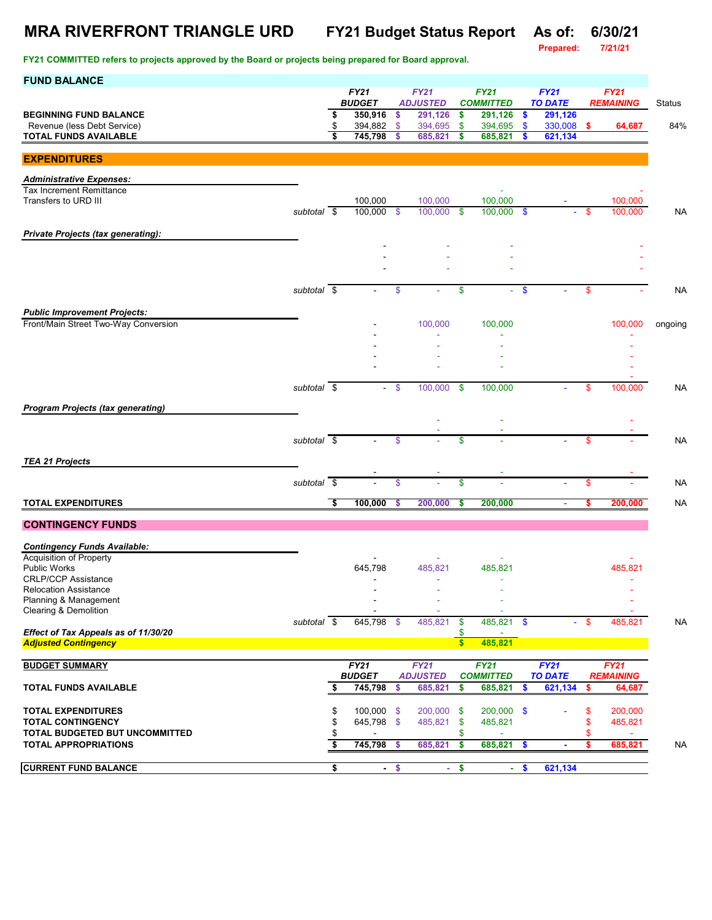# **MRA RIVERFRONT TRIANGLE URD FY21 Budget Status Report As of: 6/30/21**

**Prepared:** 

| <b>FUND BALANCE</b>                                                 |                          |          |                          |                    |                                |                               |                                 |               |                               |         |                                 |               |
|---------------------------------------------------------------------|--------------------------|----------|--------------------------|--------------------|--------------------------------|-------------------------------|---------------------------------|---------------|-------------------------------|---------|---------------------------------|---------------|
|                                                                     |                          |          | FY21<br><b>BUDGET</b>    |                    | <b>FY21</b><br><b>ADJUSTED</b> |                               | <b>FY21</b><br><b>COMMITTED</b> |               | <b>FY21</b><br><b>TO DATE</b> |         | <b>FY21</b><br><b>REMAINING</b> | <b>Status</b> |
| <b>BEGINNING FUND BALANCE</b>                                       |                          | \$       | 350,916                  | \$                 | 291,126                        | \$                            | 291,126                         | \$            | 291,126                       |         |                                 |               |
| Revenue (less Debt Service)                                         |                          | \$       | 394,882                  | \$                 | 394,695                        | \$                            | 394,695                         | \$            | 330,008                       | s.      | 64,687                          | 84%           |
| <b>TOTAL FUNDS AVAILABLE</b>                                        |                          | \$       | 745,798                  | \$                 | 685,821                        | \$                            | 685,821                         | \$            | 621,134                       |         |                                 |               |
| <b>EXPENDITURES</b>                                                 |                          |          |                          |                    |                                |                               |                                 |               |                               |         |                                 |               |
| <b>Administrative Expenses:</b>                                     |                          |          |                          |                    |                                |                               |                                 |               |                               |         |                                 |               |
| <b>Tax Increment Remittance</b>                                     |                          |          |                          |                    |                                |                               |                                 |               |                               |         |                                 |               |
| Transfers to URD III                                                |                          |          | 100,000                  |                    | 100,000                        |                               | 100,000                         |               |                               |         | 100,000                         |               |
|                                                                     | subtotal $\sqrt{s}$      |          | 100,000                  | $\mathbf{\hat{s}}$ | 100,000                        | \$                            | 100,000 \$                      |               |                               | \$      | 100,000                         | <b>NA</b>     |
| <b>Private Projects (tax generating):</b>                           |                          |          |                          |                    |                                |                               |                                 |               |                               |         |                                 |               |
|                                                                     |                          |          |                          |                    |                                |                               |                                 |               |                               |         |                                 |               |
|                                                                     |                          |          |                          |                    |                                |                               |                                 |               |                               |         |                                 |               |
|                                                                     |                          |          |                          |                    |                                |                               |                                 |               |                               |         |                                 |               |
|                                                                     | $subtotal$ \$            |          |                          | \$                 |                                | \$                            | a.                              | $\frac{1}{2}$ |                               | \$      |                                 | <b>NA</b>     |
| <b>Public Improvement Projects:</b>                                 |                          |          |                          |                    |                                |                               |                                 |               |                               |         |                                 |               |
| Front/Main Street Two-Way Conversion                                |                          |          |                          |                    | 100,000                        |                               | 100,000                         |               |                               |         | 100,000                         | ongoing       |
|                                                                     |                          |          |                          |                    |                                |                               |                                 |               |                               |         |                                 |               |
|                                                                     |                          |          |                          |                    |                                |                               |                                 |               |                               |         |                                 |               |
|                                                                     |                          |          |                          |                    |                                |                               |                                 |               |                               |         |                                 |               |
|                                                                     | subtotal \$              |          | $\sim$                   | \$                 | 100,000                        | \$                            | 100,000                         |               |                               | \$      | 100,000                         | <b>NA</b>     |
|                                                                     |                          |          |                          |                    |                                |                               |                                 |               |                               |         |                                 |               |
| <b>Program Projects (tax generating)</b>                            |                          |          |                          |                    |                                |                               |                                 |               |                               |         |                                 |               |
|                                                                     |                          |          |                          |                    |                                |                               |                                 |               |                               |         |                                 |               |
|                                                                     | subtotal $\overline{\$}$ |          |                          | \$                 |                                | \$                            |                                 |               |                               | \$      |                                 | <b>NA</b>     |
| <b>TEA 21 Projects</b>                                              |                          |          |                          |                    |                                |                               |                                 |               |                               |         |                                 |               |
|                                                                     |                          |          |                          |                    |                                |                               |                                 |               |                               |         |                                 |               |
|                                                                     | subtotal $\overline{\$}$ |          |                          | \$                 |                                | \$                            | ä,                              |               |                               | \$      |                                 | <b>NA</b>     |
| <b>TOTAL EXPENDITURES</b>                                           |                          | Ŝ.       | 100,000                  | \$                 | 200,000                        | s                             | 200,000                         |               | ä,                            | s       | 200,000                         | <b>NA</b>     |
| <b>CONTINGENCY FUNDS</b>                                            |                          |          |                          |                    |                                |                               |                                 |               |                               |         |                                 |               |
|                                                                     |                          |          |                          |                    |                                |                               |                                 |               |                               |         |                                 |               |
| <b>Contingency Funds Available:</b>                                 |                          |          |                          |                    |                                |                               |                                 |               |                               |         |                                 |               |
| <b>Acquisition of Property</b><br><b>Public Works</b>               |                          |          | 645,798                  |                    | 485,821                        |                               | 485,821                         |               |                               |         | 485,821                         |               |
| <b>CRLP/CCP Assistance</b>                                          |                          |          |                          |                    |                                |                               |                                 |               |                               |         |                                 |               |
| <b>Relocation Assistance</b>                                        |                          |          |                          |                    |                                |                               |                                 |               |                               |         |                                 |               |
| Planning & Management<br>Clearing & Demolition                      |                          |          |                          |                    |                                |                               |                                 |               |                               |         |                                 |               |
|                                                                     | subtotal \$              |          | 645,798 \$               |                    | 485,821                        | \$                            | 485,821 \$                      |               |                               | - \$    | 485,821                         | <b>NA</b>     |
| Effect of Tax Appeals as of 11/30/20<br><b>Adjusted Contingency</b> |                          |          |                          |                    |                                | \$<br>$\overline{\mathbf{s}}$ | 485,821                         |               |                               |         |                                 |               |
|                                                                     |                          |          |                          |                    |                                |                               |                                 |               |                               |         |                                 |               |
| <b>BUDGET SUMMARY</b>                                               |                          |          | FY21                     |                    | <b>FY21</b>                    |                               | <b>FY21</b>                     |               | <b>FY21</b>                   |         | <b>FY21</b>                     |               |
| <b>TOTAL FUNDS AVAILABLE</b>                                        |                          | \$       | <b>BUDGET</b><br>745,798 | \$                 | <b>ADJUSTED</b><br>685,821     | \$                            | <b>COMMITTED</b><br>685,821     | \$            | <b>TO DATE</b><br>621,134     | \$      | <b>REMAINING</b><br>64,687      |               |
|                                                                     |                          |          |                          |                    |                                |                               |                                 |               |                               |         |                                 |               |
| <b>TOTAL EXPENDITURES</b>                                           |                          | \$       | 100,000 \$               |                    | 200,000                        | \$                            | $200,000$ \$                    |               |                               | \$      | 200,000                         |               |
| <b>TOTAL CONTINGENCY</b>                                            |                          | \$       | 645,798 \$               |                    | 485,821                        | \$                            | 485,821                         |               |                               | \$      | 485,821                         |               |
| TOTAL BUDGETED BUT UNCOMMITTED<br><b>TOTAL APPROPRIATIONS</b>       |                          | \$<br>\$ | 745,798                  | -\$                | 685,821                        | \$<br>\$                      | 685,821                         | \$            |                               | \$<br>S | $\blacksquare$<br>685,821       | NA            |
|                                                                     |                          |          |                          |                    |                                |                               |                                 |               |                               |         |                                 |               |
| <b>CURRENT FUND BALANCE</b>                                         |                          | \$       |                          | $-$ \$             |                                | $-$ \$                        |                                 | $-$ \$        | 621,134                       |         |                                 |               |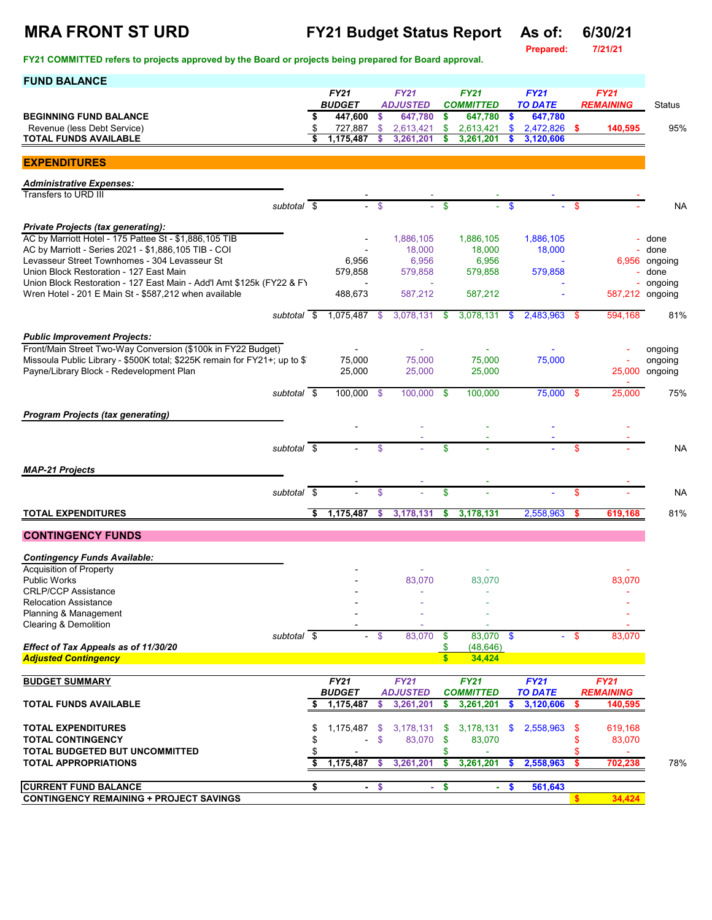**Prepared:** 

| <b>FUND BALANCE</b>                                                                                                    |                                |               |                            |              |                             |               |                           |            |                  |                           |
|------------------------------------------------------------------------------------------------------------------------|--------------------------------|---------------|----------------------------|--------------|-----------------------------|---------------|---------------------------|------------|------------------|---------------------------|
|                                                                                                                        | <b>FY21</b>                    |               | <b>FY21</b>                |              | <b>FY21</b>                 |               | FY21                      |            | <b>FY21</b>      |                           |
| <b>BEGINNING FUND BALANCE</b>                                                                                          | \$<br><b>BUDGET</b><br>447,600 | \$.           | <b>ADJUSTED</b><br>647,780 | \$           | <b>COMMITTED</b><br>647,780 | $\sqrt[6]{3}$ | <b>TO DATE</b><br>647,780 |            | <b>REMAINING</b> | Status                    |
| Revenue (less Debt Service)                                                                                            | \$<br>727,887                  | $\mathsf{\$}$ | 2,613,421                  | \$           | 2,613,421                   | $\mathbf{s}$  | 2,472,826 \$              |            | 140.595          | 95%                       |
| <b>TOTAL FUNDS AVAILABLE</b>                                                                                           | 1,175,487                      | \$            | 3,261,201                  | \$           | 3,261,201                   |               | 3,120,606                 |            |                  |                           |
| <b>EXPENDITURES</b>                                                                                                    |                                |               |                            |              |                             |               |                           |            |                  |                           |
| <b>Administrative Expenses:</b>                                                                                        |                                |               |                            |              |                             |               |                           |            |                  |                           |
| Transfers to URD III                                                                                                   |                                |               |                            |              |                             |               |                           |            |                  |                           |
| subtotal \$                                                                                                            |                                | -\$           |                            | \$           |                             | \$.           |                           | \$.        |                  | <b>NA</b>                 |
| <b>Private Projects (tax generating):</b><br>AC by Marriott Hotel - 175 Pattee St - \$1,886,105 TIB                    |                                |               | 1,886,105                  |              | 1,886,105                   |               | 1,886,105                 |            |                  | - done                    |
| AC by Marriott - Series 2021 - \$1,886,105 TIB - COI                                                                   |                                |               | 18,000                     |              | 18,000                      |               | 18,000                    |            |                  | done                      |
| Levasseur Street Townhomes - 304 Levasseur St<br>Union Block Restoration - 127 East Main                               | 6,956<br>579,858               |               | 6,956                      |              | 6,956                       |               | 579,858                   |            |                  | 6,956 ongoing<br>- done   |
| Union Block Restoration - 127 East Main - Add'l Amt \$125k (FY22 & FY                                                  |                                |               | 579,858                    |              | 579,858                     |               |                           |            |                  | - ongoing                 |
| Wren Hotel - 201 E Main St - \$587,212 when available                                                                  | 488,673                        |               | 587,212                    |              | 587,212                     |               |                           |            |                  | 587,212 ongoing           |
| subtotal \$                                                                                                            | 1,075,487                      | \$            | 3,078,131                  | \$           | 3,078,131                   | \$            | 2,483,963                 | -S         | 594,168          | 81%                       |
| <b>Public Improvement Projects:</b>                                                                                    |                                |               |                            |              |                             |               |                           |            |                  |                           |
| Front/Main Street Two-Way Conversion (\$100k in FY22 Budget)                                                           |                                |               |                            |              |                             |               |                           |            |                  | ongoing                   |
| Missoula Public Library - \$500K total; \$225K remain for FY21+; up to \$1<br>Payne/Library Block - Redevelopment Plan | 75,000<br>25,000               |               | 75,000<br>25,000           |              | 75.000<br>25,000            |               | 75,000                    |            |                  | ongoing<br>25,000 ongoing |
|                                                                                                                        |                                |               |                            |              |                             |               |                           |            |                  |                           |
| subtotal \$                                                                                                            | 100,000                        | - \$          | 100,000                    | $\mathbf{s}$ | 100,000                     |               | 75,000 \$                 |            | 25,000           | 75%                       |
| <b>Program Projects (tax generating)</b>                                                                               |                                |               |                            |              |                             |               |                           |            |                  |                           |
|                                                                                                                        |                                |               |                            |              |                             |               |                           |            |                  |                           |
| subtotal $\sqrt{s}$                                                                                                    |                                | \$            |                            | \$           |                             |               |                           | \$         |                  | <b>NA</b>                 |
| <b>MAP-21 Projects</b>                                                                                                 |                                |               |                            |              |                             |               |                           |            |                  |                           |
| subtotal \$                                                                                                            |                                | \$            |                            | \$.          |                             |               |                           | \$         |                  | <b>NA</b>                 |
|                                                                                                                        |                                |               |                            |              |                             |               |                           |            |                  |                           |
| <b>TOTAL EXPENDITURES</b>                                                                                              | \$<br>1,175,487                | \$            | 3,178,131                  | \$           | 3,178,131                   |               | 2,558,963                 |            | 619,168          | 81%                       |
| <b>CONTINGENCY FUNDS</b>                                                                                               |                                |               |                            |              |                             |               |                           |            |                  |                           |
| <b>Contingency Funds Available:</b>                                                                                    |                                |               |                            |              |                             |               |                           |            |                  |                           |
| Acquisition of Property                                                                                                |                                |               |                            |              |                             |               |                           |            |                  |                           |
| <b>Public Works</b><br><b>CRLP/CCP Assistance</b>                                                                      |                                |               | 83,070                     |              | 83,070                      |               |                           |            | 83,070           |                           |
| <b>Relocation Assistance</b>                                                                                           |                                |               |                            |              |                             |               |                           |            |                  |                           |
| Planning & Management<br><b>Clearing &amp; Demolition</b>                                                              |                                |               |                            |              |                             |               |                           |            |                  |                           |
| subtotal $\overline{\$}$                                                                                               |                                | - \$          | 83,070                     | \$           | 83,070 \$                   |               |                           | $-$ \$     | 83,070           |                           |
| Effect of Tax Appeals as of 11/30/20<br><b>Adjusted Contingency</b>                                                    |                                |               |                            | $\mathbf{s}$ | (48, 646)<br>34,424         |               |                           |            |                  |                           |
| <b>BUDGET SUMMARY</b>                                                                                                  | FY21                           |               | <b>FY21</b>                |              | <b>FY21</b>                 |               | <b>FY21</b>               |            | <b>FY21</b>      |                           |
|                                                                                                                        | <b>BUDGET</b>                  |               | <b>ADJUSTED</b>            |              | <b>COMMITTED</b>            |               | <b>TO DATE</b>            |            | <b>REMAINING</b> |                           |
| <b>TOTAL FUNDS AVAILABLE</b>                                                                                           | 1,175,487                      | \$            | 3,261,201                  | S            | 3,261,201                   |               | 3,120,606                 | s          | 140,595          |                           |
| <b>TOTAL EXPENDITURES</b>                                                                                              | 1,175,487                      | -\$           | 3,178,131                  | \$           | $3,178,131$ \$              |               | 2,558,963                 | -S         | 619,168          |                           |
| <b>TOTAL CONTINGENCY</b>                                                                                               |                                | \$            | 83,070                     | \$           | 83,070                      |               |                           | \$         | 83,070           |                           |
| <b>TOTAL BUDGETED BUT UNCOMMITTED</b><br><b>TOTAL APPROPRIATIONS</b>                                                   | \$<br>1,175,487                | s.            | 3,261,201                  | \$<br>-S     | 3,261,201                   | $\mathbf{\$}$ | 2,558,963                 | \$.<br>\$. | 702,238          | 78%                       |
|                                                                                                                        |                                |               |                            |              |                             |               |                           |            |                  |                           |
| <b>CURRENT FUND BALANCE</b><br><b>CONTINGENCY REMAINING + PROJECT SAVINGS</b>                                          | \$                             | $-$ \$        | $\sim$                     | \$           | $\sim$                      | \$            | 561,643                   |            | 34,424           |                           |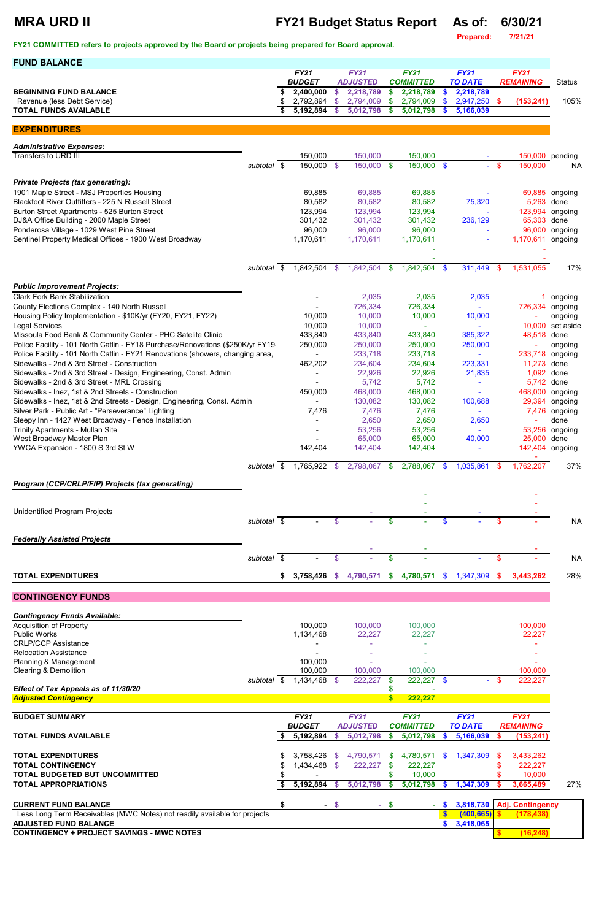## **MRA URD II FY21 Budget Status Report As of: 6/30/21**

**Prepared: 7/21/21**

| <b>FUND BALANCE</b>                                                                                                                                                 |                          |    |                                |               |                                |                   |                                 |               |                               |          |                                 |                    |
|---------------------------------------------------------------------------------------------------------------------------------------------------------------------|--------------------------|----|--------------------------------|---------------|--------------------------------|-------------------|---------------------------------|---------------|-------------------------------|----------|---------------------------------|--------------------|
|                                                                                                                                                                     |                          |    | <b>FY21</b><br><b>BUDGET</b>   |               | <b>FY21</b><br><b>ADJUSTED</b> |                   | <b>FY21</b><br><b>COMMITTED</b> |               | <b>FY21</b><br><b>TO DATE</b> |          | <b>FY21</b><br><b>REMAINING</b> | <b>Status</b>      |
| <b>BEGINNING FUND BALANCE</b>                                                                                                                                       |                          | S  | 2,400,000                      | $\mathbf{s}$  | 2,218,789                      | -\$               | 2,218,789                       |               | 2,218,789                     |          |                                 |                    |
| Revenue (less Debt Service)                                                                                                                                         |                          | \$ | 2,792,894                      | <sup>\$</sup> | 2,794,009                      | -\$               | 2,794,009                       |               | 2,947,250                     | <b>S</b> | (153, 241)                      | 105%               |
| <b>TOTAL FUNDS AVAILABLE</b>                                                                                                                                        |                          | \$ | 5,192,894                      | <b>S</b>      | 5,012,798                      | - \$              | 5,012,798                       |               | 5,166,039                     |          |                                 |                    |
| <b>EXPENDITURES</b>                                                                                                                                                 |                          |    |                                |               |                                |                   |                                 |               |                               |          |                                 |                    |
| <b>Administrative Expenses:</b>                                                                                                                                     |                          |    |                                |               |                                |                   |                                 |               |                               |          |                                 |                    |
| Transfers to URD III                                                                                                                                                |                          |    | 150,000                        |               | 150,000                        |                   | 150,000                         |               |                               |          |                                 | 150,000 pending    |
|                                                                                                                                                                     | subtotal \$              |    | $150,000$ \$                   |               | 150,000 \$                     |                   | 150,000 \$                      |               |                               | - \$     | 150,000                         | <b>NA</b>          |
| <b>Private Projects (tax generating):</b>                                                                                                                           |                          |    |                                |               |                                |                   |                                 |               |                               |          |                                 |                    |
| 1901 Maple Street - MSJ Properties Housing                                                                                                                          |                          |    | 69,885                         |               | 69,885                         |                   | 69,885                          |               |                               |          |                                 | 69,885 ongoing     |
| Blackfoot River Outfitters - 225 N Russell Street<br>Burton Street Apartments - 525 Burton Street                                                                   |                          |    | 80,582<br>123,994              |               | 80,582<br>123,994              |                   | 80,582<br>123,994               |               | 75,320                        |          | 5,263<br>123,994                | done<br>ongoing    |
| DJ&A Office Building - 2000 Maple Street                                                                                                                            |                          |    | 301,432                        |               | 301,432                        |                   | 301,432                         |               | 236,129                       |          | 65,303                          | done               |
| Ponderosa Village - 1029 West Pine Street                                                                                                                           |                          |    | 96,000                         |               | 96,000                         |                   | 96,000                          |               |                               |          | 96,000                          | ongoing            |
| Sentinel Property Medical Offices - 1900 West Broadway                                                                                                              |                          |    | 1,170,611                      |               | 1,170,611                      |                   | 1,170,611                       |               |                               |          | 1,170,611 ongoing               |                    |
|                                                                                                                                                                     |                          |    |                                |               |                                |                   |                                 |               |                               |          |                                 |                    |
|                                                                                                                                                                     | subtotal \$              |    | $1,842,504$ \$                 |               | 1,842,504                      | - \$              | 1,842,504 \$                    |               | 311,449                       | - \$     | 1,531,055                       | 17%                |
| <b>Public Improvement Projects:</b>                                                                                                                                 |                          |    |                                |               |                                |                   |                                 |               |                               |          |                                 |                    |
| <b>Clark Fork Bank Stabilization</b>                                                                                                                                |                          |    |                                |               | 2,035                          |                   | 2,035                           |               | 2,035                         |          |                                 | ongoing            |
| County Elections Complex - 140 North Russell<br>Housing Policy Implementation - \$10K/yr (FY20, FY21, FY22)                                                         |                          |    | 10,000                         |               | 726,334<br>10,000              |                   | 726,334<br>10,000               |               | 10,000                        |          | 726,334                         | ongoing<br>ongoing |
| <b>Legal Services</b>                                                                                                                                               |                          |    | 10,000                         |               | 10,000                         |                   |                                 |               |                               |          | 10,000                          | set aside          |
| Missoula Food Bank & Community Center - PHC Satelite Clinic                                                                                                         |                          |    | 433,840                        |               | 433,840                        |                   | 433,840                         |               | 385,322                       |          | 48,518 done                     |                    |
| Police Facility - 101 North Catlin - FY18 Purchase/Renovations (\$250K/yr FY19-<br>Police Facility - 101 North Catlin - FY21 Renovations (showers, changing area, I |                          |    | 250,000                        |               | 250,000<br>233,718             |                   | 250,000<br>233,718              |               | 250,000                       |          | 233,718                         | ongoing<br>ongoing |
| Sidewalks - 2nd & 3rd Street - Construction                                                                                                                         |                          |    | 462,202                        |               | 234,604                        |                   | 234,604                         |               | 223,331                       |          | 11,273                          | done               |
| Sidewalks - 2nd & 3rd Street - Design, Engineering, Const. Admin                                                                                                    |                          |    |                                |               | 22,926                         |                   | 22,926                          |               | 21,835                        |          | 1,092 done                      |                    |
| Sidewalks - 2nd & 3rd Street - MRL Crossing<br>Sidewalks - Inez, 1st & 2nd Streets - Construction                                                                   |                          |    | 450,000                        |               | 5,742<br>468,000               |                   | 5,742<br>468,000                |               |                               |          | 5,742 done<br>468,000 ongoing   |                    |
| Sidewalks - Inez, 1st & 2nd Streets - Design, Engineering, Const. Admin                                                                                             |                          |    |                                |               | 130,082                        |                   | 130,082                         |               | 100,688                       |          |                                 | 29,394 ongoing     |
| Silver Park - Public Art - "Perseverance" Lighting                                                                                                                  |                          |    | 7,476                          |               | 7,476                          |                   | 7,476                           |               |                               |          | 7,476                           | ongoing            |
| Sleepy Inn - 1427 West Broadway - Fence Installation<br><b>Trinity Apartments - Mullan Site</b>                                                                     |                          |    |                                |               | 2,650<br>53,256                |                   | 2,650<br>53,256                 |               | 2,650                         |          | 53,256                          | done<br>ongoing    |
| West Broadway Master Plan                                                                                                                                           |                          |    |                                |               | 65,000                         |                   | 65,000                          |               | 40,000                        |          | 25,000                          | done               |
| YWCA Expansion - 1800 S 3rd St W                                                                                                                                    |                          |    | 142,404                        |               | 142,404                        |                   | 142,404                         |               |                               |          | 142,404 ongoing                 |                    |
|                                                                                                                                                                     | subtotal \$              |    | 1,765,922                      | - \$          | 2,798,067 \$                   |                   | 2,788,067                       | - \$          | 1,035,861                     | - \$     | 1,762,207                       | 37%                |
| Program (CCP/CRLP/FIP) Projects (tax generating)                                                                                                                    |                          |    |                                |               |                                |                   |                                 |               |                               |          |                                 |                    |
|                                                                                                                                                                     |                          |    |                                |               |                                |                   |                                 |               |                               |          |                                 |                    |
| <b>Unidentified Program Projects</b>                                                                                                                                |                          |    |                                |               |                                |                   |                                 |               |                               |          |                                 |                    |
|                                                                                                                                                                     | subtotal $\overline{\$}$ |    |                                | $\mathcal{S}$ |                                | \$                |                                 |               |                               | \$       |                                 | <b>NA</b>          |
|                                                                                                                                                                     |                          |    |                                |               |                                |                   |                                 |               |                               |          |                                 |                    |
| <b>Federally Assisted Projects</b>                                                                                                                                  |                          |    |                                |               |                                |                   |                                 |               |                               |          |                                 |                    |
|                                                                                                                                                                     | subtotal \$              |    |                                | $\mathcal{S}$ |                                | $\boldsymbol{\$}$ | $\bar{a}$                       |               |                               | \$       |                                 | <b>NA</b>          |
| <b>TOTAL EXPENDITURES</b>                                                                                                                                           |                          | \$ | 3,758,426                      | <b>S</b>      | 4,790,571                      | -S                | 4,780,571                       | $\mathbf{\$}$ | 1,347,309                     | S        | 3,443,262                       | 28%                |
|                                                                                                                                                                     |                          |    |                                |               |                                |                   |                                 |               |                               |          |                                 |                    |
| <b>CONTINGENCY FUNDS</b>                                                                                                                                            |                          |    |                                |               |                                |                   |                                 |               |                               |          |                                 |                    |
| <b>Contingency Funds Available:</b>                                                                                                                                 |                          |    |                                |               |                                |                   |                                 |               |                               |          |                                 |                    |
| <b>Acquisition of Property</b><br><b>Public Works</b>                                                                                                               |                          |    | 100,000<br>1,134,468           |               | 100,000<br>22,227              |                   | 100,000<br>22,227               |               |                               |          | 100,000<br>22,227               |                    |
| <b>CRLP/CCP Assistance</b>                                                                                                                                          |                          |    |                                |               |                                |                   |                                 |               |                               |          |                                 |                    |
| <b>Relocation Assistance</b>                                                                                                                                        |                          |    |                                |               |                                |                   |                                 |               |                               |          |                                 |                    |
| Planning & Management<br><b>Clearing &amp; Demolition</b>                                                                                                           |                          |    | 100,000<br>100,000             |               | 100,000                        |                   | 100,000                         |               |                               |          | 100,000                         |                    |
|                                                                                                                                                                     | subtotal \$              |    | $1,434,468$ \$                 |               | 222,227                        | -\$               | $222,227$ \$                    |               | $\sim$                        |          | 222,227                         |                    |
| Effect of Tax Appeals as of 11/30/20<br><b>Adjusted Contingency</b>                                                                                                 |                          |    |                                |               |                                | \$<br>\$          | 222,227                         |               |                               |          |                                 |                    |
|                                                                                                                                                                     |                          |    |                                |               |                                |                   |                                 |               |                               |          |                                 |                    |
| <b>BUDGET SUMMARY</b>                                                                                                                                               |                          |    | <b>FY21</b><br><b>BUDGET</b>   |               | <b>FY21</b><br><b>ADJUSTED</b> |                   | <b>FY21</b><br><b>COMMITTED</b> |               | <b>FY21</b><br><b>TO DATE</b> |          | <b>FY21</b><br><b>REMAINING</b> |                    |
| <b>TOTAL FUNDS AVAILABLE</b>                                                                                                                                        |                          | S  | 5,192,894                      | - \$          | 5,012,798                      | - \$              | 5,012,798                       | $\mathbf{s}$  | 5,166,039                     | - 5      | (153, 241)                      |                    |
|                                                                                                                                                                     |                          |    |                                |               |                                |                   |                                 |               |                               |          |                                 |                    |
| <b>TOTAL EXPENDITURES</b><br><b>TOTAL CONTINGENCY</b>                                                                                                               |                          |    | $3,758,426$ \$<br>1,434,468 \$ |               | 4,790,571 \$<br>222,227        | - \$              | 222,227                         |               | 4,780,571 \$ 1,347,309        | - \$     | 3,433,262<br>222,227            |                    |
| TOTAL BUDGETED BUT UNCOMMITTED                                                                                                                                      |                          |    |                                |               |                                | \$                | 10,000                          |               |                               |          | 10,000                          |                    |
| <b>TOTAL APPROPRIATIONS</b>                                                                                                                                         |                          | S. | 5,192,894 \$                   |               | 5,012,798                      | \$                | $5,012,798$ \$                  |               | 1,347,309                     |          | 3,665,489                       | 27%                |
| <b>CURRENT FUND BALANCE</b>                                                                                                                                         |                          | \$ |                                | $-$ \$        |                                | $-$ \$            | $\sim$                          | - 5           | 3,818,730                     |          | Adj. Contingency                |                    |
| Less Long Term Receivables (MWC Notes) not readily available for projects                                                                                           |                          |    |                                |               |                                |                   |                                 | $\mathbf{\$}$ | (400, 665)                    |          | (178, 438)                      |                    |
| <b>ADJUSTED FUND BALANCE</b><br><b>CONTINGENCY + PROJECT SAVINGS - MWC NOTES</b>                                                                                    |                          |    |                                |               |                                |                   |                                 | \$.           | 3,418,065                     | s.       | (16, 248)                       |                    |
|                                                                                                                                                                     |                          |    |                                |               |                                |                   |                                 |               |                               |          |                                 |                    |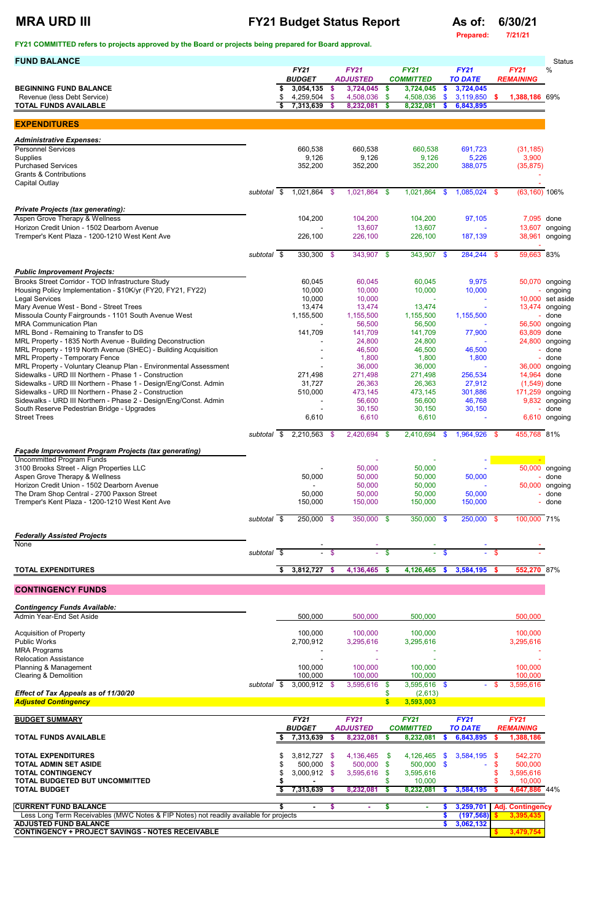### **MRA URD III FY21 Budget Status Report As of: 6/30/21**

**Prepared: 7/21/21**

| <b>FUND BALANCE</b>                                                                                                       |                          |    |                              |        |                                |          |                                 |               |                               |              |                                 | <b>Status</b>               |  |
|---------------------------------------------------------------------------------------------------------------------------|--------------------------|----|------------------------------|--------|--------------------------------|----------|---------------------------------|---------------|-------------------------------|--------------|---------------------------------|-----------------------------|--|
|                                                                                                                           |                          |    | <b>FY21</b><br><b>BUDGET</b> |        | <b>FY21</b><br><b>ADJUSTED</b> |          | <b>FY21</b><br><b>COMMITTED</b> |               | <b>FY21</b><br><b>TO DATE</b> |              | <b>FY21</b><br><b>REMAINING</b> | %                           |  |
| <b>BEGINNING FUND BALANCE</b>                                                                                             |                          | \$ | 3,054,135                    | - \$   | 3,724,045                      | \$       | 3,724,045                       | \$            | 3,724,045                     |              |                                 |                             |  |
| Revenue (less Debt Service)                                                                                               |                          | S  | 4,259,504 \$                 |        | 4,508,036                      | \$       | 4,508,036                       | \$            | 3,119,850                     | $\mathbf{s}$ | 1,388,186 69%                   |                             |  |
| <b>TOTAL FUNDS AVAILABLE</b>                                                                                              |                          | Ŝ. | 7,313,639                    | -\$    | 8,232,081                      | <b>S</b> | 8,232,081                       | S             | 6,843,895                     |              |                                 |                             |  |
| <b>EXPENDITURES</b>                                                                                                       |                          |    |                              |        |                                |          |                                 |               |                               |              |                                 |                             |  |
| <b>Administrative Expenses:</b>                                                                                           |                          |    |                              |        |                                |          |                                 |               |                               |              |                                 |                             |  |
| <b>Personnel Services</b>                                                                                                 |                          |    | 660,538                      |        | 660,538                        |          | 660,538                         |               | 691,723                       |              | (31, 185)                       |                             |  |
| Supplies<br><b>Purchased Services</b>                                                                                     |                          |    | 9,126<br>352,200             |        | 9,126<br>352,200               |          | 9,126<br>352,200                |               | 5,226<br>388,075              |              | 3,900<br>(35, 875)              |                             |  |
| <b>Grants &amp; Contributions</b>                                                                                         |                          |    |                              |        |                                |          |                                 |               |                               |              |                                 |                             |  |
| <b>Capital Outlay</b>                                                                                                     | subtotal $\overline{\$}$ |    | 1,021,864 \$                 |        | 1,021,864 \$                   |          | 1,021,864                       | \$            | 1,085,024 \$                  |              | $(63, 160)$ 106%                |                             |  |
|                                                                                                                           |                          |    |                              |        |                                |          |                                 |               |                               |              |                                 |                             |  |
| <b>Private Projects (tax generating):</b>                                                                                 |                          |    |                              |        |                                |          |                                 |               |                               |              |                                 |                             |  |
| Aspen Grove Therapy & Wellness<br>Horizon Credit Union - 1502 Dearborn Avenue                                             |                          |    | 104,200                      |        | 104,200<br>13,607              |          | 104,200<br>13,607               |               | 97,105                        |              | 7,095 done<br>13,607            | ongoing                     |  |
| Tremper's Kent Plaza - 1200-1210 West Kent Ave                                                                            |                          |    | 226,100                      |        | 226,100                        |          | 226,100                         |               | 187,139                       |              | 38,961                          | ongoing                     |  |
|                                                                                                                           | subtotal \$              |    | $330,300$ \$                 |        | 343,907 \$                     |          | 343,907 \$                      |               | 284,244 \$                    |              | 59,663 83%                      |                             |  |
|                                                                                                                           |                          |    |                              |        |                                |          |                                 |               |                               |              |                                 |                             |  |
| <b>Public Improvement Projects:</b>                                                                                       |                          |    |                              |        |                                |          |                                 |               |                               |              |                                 |                             |  |
| Brooks Street Corridor - TOD Infrastructure Study<br>Housing Policy Implementation - \$10K/yr (FY20, FY21, FY22)          |                          |    | 60,045<br>10,000             |        | 60,045<br>10,000               |          | 60,045<br>10,000                |               | 9,975<br>10,000               |              |                                 | 50,070 ongoing<br>- ongoing |  |
| <b>Legal Services</b>                                                                                                     |                          |    | 10,000                       |        | 10,000                         |          |                                 |               |                               |              |                                 | 10,000 set aside            |  |
| Mary Avenue West - Bond - Street Trees<br>Missoula County Fairgrounds - 1101 South Avenue West                            |                          |    | 13,474<br>1,155,500          |        | 13,474<br>1,155,500            |          | 13,474<br>1,155,500             |               | 1,155,500                     |              |                                 | 13,474 ongoing<br>done      |  |
| <b>MRA Communication Plan</b>                                                                                             |                          |    |                              |        | 56,500                         |          | 56,500                          |               |                               |              |                                 | 56,500 ongoing              |  |
| MRL Bond - Remaining to Transfer to DS<br>MRL Property - 1835 North Avenue - Building Deconstruction                      |                          |    | 141,709                      |        | 141,709<br>24,800              |          | 141,709<br>24,800               |               | 77,900                        |              | 63,809 done<br>24,800           | ongoing                     |  |
| MRL Property - 1919 North Avenue (SHEC) - Building Acquisition                                                            |                          |    |                              |        | 46,500                         |          | 46,500                          |               | 46,500                        |              |                                 | done                        |  |
| <b>MRL Property - Temporary Fence</b>                                                                                     |                          |    |                              |        | 1,800                          |          | 1,800                           |               | 1,800                         |              |                                 | - done                      |  |
| MRL Property - Voluntary Cleanup Plan - Environmental Assessment<br>Sidewalks - URD III Northern - Phase 1 - Construction |                          |    | 271,498                      |        | 36,000<br>271,498              |          | 36,000<br>271,498               |               | 256,534                       |              | 36,000<br>14,964                | ongoing<br>done             |  |
| Sidewalks - URD III Northern - Phase 1 - Design/Eng/Const. Admin                                                          |                          |    | 31,727                       |        | 26,363                         |          | 26,363                          |               | 27,912                        |              | $(1,549)$ done                  |                             |  |
| Sidewalks - URD III Northern - Phase 2 - Construction<br>Sidewalks - URD III Northern - Phase 2 - Design/Eng/Const. Admin |                          |    | 510,000                      |        | 473,145<br>56,600              |          | 473,145<br>56,600               |               | 301,886<br>46,768             |              | 171,259 ongoing                 | 9,832 ongoing               |  |
| South Reserve Pedestrian Bridge - Upgrades                                                                                |                          |    |                              |        | 30,150                         |          | 30,150                          |               | 30,150                        |              |                                 | - done                      |  |
| <b>Street Trees</b>                                                                                                       |                          |    | 6,610                        |        | 6,610                          |          | 6,610                           |               |                               |              |                                 | 6,610 ongoing               |  |
|                                                                                                                           | subtotal \$              |    | $2,210,563$ \$               |        | 2,420,694 \$                   |          | 2,410,694                       | \$            | 1,964,926 \$                  |              | 455,768 81%                     |                             |  |
| <b>Façade Improvement Program Projects (tax generating)</b>                                                               |                          |    |                              |        |                                |          |                                 |               |                               |              |                                 |                             |  |
| <b>Uncommitted Program Funds</b>                                                                                          |                          |    |                              |        |                                |          |                                 |               |                               |              |                                 |                             |  |
| 3100 Brooks Street - Align Properties LLC<br>Aspen Grove Therapy & Wellness                                               |                          |    | 50,000                       |        | 50,000<br>50,000               |          | 50,000<br>50,000                |               | 50,000                        |              |                                 | 50,000 ongoing<br>- done    |  |
| Horizon Credit Union - 1502 Dearborn Avenue                                                                               |                          |    |                              |        | 50,000                         |          | 50,000                          |               |                               |              |                                 | 50,000 ongoing              |  |
| The Dram Shop Central - 2700 Paxson Street<br>Tremper's Kent Plaza - 1200-1210 West Kent Ave                              |                          |    | 50,000<br>150,000            |        | 50,000<br>150,000              |          | 50,000<br>150,000               |               | 50,000<br>150,000             |              |                                 | done<br>done                |  |
|                                                                                                                           |                          |    |                              |        |                                |          |                                 |               |                               |              |                                 |                             |  |
|                                                                                                                           | subtotal \$              |    | $250,000$ \$                 |        | $350,000$ \$                   |          | $350,000$ \$                    |               | $250,000$ \$                  |              | 100,000 71%                     |                             |  |
| <b>Federally Assisted Projects</b>                                                                                        |                          |    |                              |        |                                |          |                                 |               |                               |              |                                 |                             |  |
| None                                                                                                                      |                          |    |                              |        |                                |          |                                 |               |                               |              |                                 |                             |  |
|                                                                                                                           | subtotal \$              |    |                              | $-$ \$ | $\sim$                         | -\$      | $\sim$                          | $\mathbf{\$}$ |                               | $-$ \$       |                                 |                             |  |
| <b>TOTAL EXPENDITURES</b>                                                                                                 |                          | \$ | 3,812,727 \$                 |        | 4,136,465 \$                   |          | 4,126,465                       | \$            | 3,584,195                     | -S           | 552,270 87%                     |                             |  |
| <b>CONTINGENCY FUNDS</b>                                                                                                  |                          |    |                              |        |                                |          |                                 |               |                               |              |                                 |                             |  |
|                                                                                                                           |                          |    |                              |        |                                |          |                                 |               |                               |              |                                 |                             |  |
| <b>Contingency Funds Available:</b>                                                                                       |                          |    |                              |        |                                |          |                                 |               |                               |              |                                 |                             |  |
| Admin Year-End Set Aside                                                                                                  |                          |    | 500,000                      |        | 500,000                        |          | 500,000                         |               |                               |              | 500,000                         |                             |  |
| <b>Acquisition of Property</b>                                                                                            |                          |    | 100,000                      |        | 100,000                        |          | 100,000                         |               |                               |              | 100,000                         |                             |  |
| <b>Public Works</b><br><b>MRA Programs</b>                                                                                |                          |    | 2,700,912                    |        | 3,295,616                      |          | 3,295,616                       |               |                               |              | 3,295,616                       |                             |  |
| <b>Relocation Assistance</b>                                                                                              |                          |    |                              |        |                                |          |                                 |               |                               |              |                                 |                             |  |
| Planning & Management                                                                                                     |                          |    | 100,000                      |        | 100,000                        |          | 100,000                         |               |                               |              | 100,000                         |                             |  |

| Clearing & Demolition                                                                 |          |               | 100,000        |             | 100,000         |                  | 100,000        |      |                |                  | 100,000                 |  |
|---------------------------------------------------------------------------------------|----------|---------------|----------------|-------------|-----------------|------------------|----------------|------|----------------|------------------|-------------------------|--|
|                                                                                       | subtotal | S             | $3,000,912$ \$ |             | 3,595,616       | <b>S</b>         | $3,595,616$ \$ |      | $\sim$         |                  | 3,595,616               |  |
| Effect of Tax Appeals as of 11/30/20                                                  |          |               |                |             |                 |                  | (2,613)        |      |                |                  |                         |  |
| <b>Adjusted Contingency</b>                                                           |          |               |                |             |                 |                  | 3,593,003      |      |                |                  |                         |  |
|                                                                                       |          |               |                |             |                 |                  |                |      |                |                  |                         |  |
| <b>BUDGET SUMMARY</b>                                                                 |          | <b>FY21</b>   |                | <b>FY21</b> |                 | <b>FY21</b>      |                |      | <b>FY21</b>    | <b>FY21</b>      |                         |  |
|                                                                                       |          | <b>BUDGET</b> |                |             | <b>ADJUSTED</b> | <b>COMMITTED</b> |                |      | <b>TO DATE</b> | <b>REMAINING</b> |                         |  |
| <b>TOTAL FUNDS AVAILABLE</b>                                                          |          |               | 7,313,639      |             | 8,232,081       |                  | 8,232,081      | ъ.   | 6,843,895      |                  | 1,388,186               |  |
| <b>TOTAL EXPENDITURES</b>                                                             |          |               | $3,812,727$ \$ |             | 4,136,465       | - \$             | 4,126,465      | SS.  | 3,584,195 \$   |                  | 542,270                 |  |
| TOTAL ADMIN SET ASIDE                                                                 |          |               | $500.000$ \$   |             | 500,000         | - \$             | 500,000        | - \$ | $\sim$         |                  | 500,000                 |  |
| <b>TOTAL CONTINGENCY</b>                                                              |          |               | $3,000,912$ \$ |             | 3,595,616       | <b>S</b>         | 3,595,616      |      |                |                  | 3,595,616               |  |
| TOTAL BUDGETED BUT UNCOMMITTED                                                        |          |               |                |             |                 |                  | 10,000         |      |                |                  | 10,000                  |  |
| TOTAL BUDGET                                                                          |          |               | 7,313,639      |             | 8,232,081       |                  | 8,232,081      |      | 3,584,195      |                  | 4,647,886 44%           |  |
|                                                                                       |          |               |                |             |                 |                  |                |      |                |                  |                         |  |
| <b>CURRENT FUND BALANCE</b>                                                           |          |               |                |             |                 |                  |                |      | 3,259,701      |                  | <b>Adj. Contingency</b> |  |
| Less Long Term Receivables (MWC Notes & FIP Notes) not readily available for projects |          |               |                |             |                 |                  |                |      | (197, 568)     |                  | 3,395,435               |  |
| <b>ADJUSTED FUND BALANCE</b>                                                          |          |               |                |             |                 |                  |                |      | 3,062,132      |                  |                         |  |
| <b>CONTINGENCY + PROJECT SAVINGS - NOTES RECEIVABLE</b>                               |          |               |                |             |                 |                  |                |      |                |                  | 3,479,754               |  |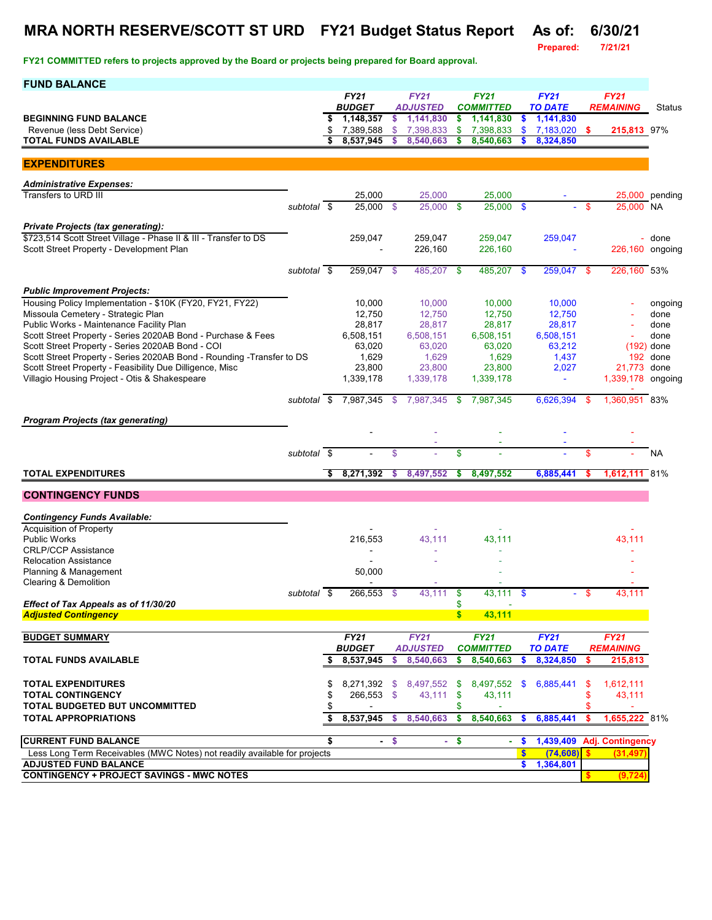## **MRA NORTH RESERVE/SCOTT ST URD FY21 Budget Status Report As of: 6/30/21**

**Prepared:** 

| <b>FUND BALANCE</b>                                                                                          |             |          |                        |         |                        |              |                        |           |                        |            |                            |                           |
|--------------------------------------------------------------------------------------------------------------|-------------|----------|------------------------|---------|------------------------|--------------|------------------------|-----------|------------------------|------------|----------------------------|---------------------------|
|                                                                                                              |             |          | <b>FY21</b>            |         | <b>FY21</b>            |              | <b>FY21</b>            |           | <b>FY21</b>            |            | <b>FY21</b>                |                           |
|                                                                                                              |             |          | <b>BUDGET</b>          |         | <b>ADJUSTED</b>        |              | <b>COMMITTED</b>       |           | <b>TO DATE</b>         |            | <b>REMAINING</b>           | Status                    |
| <b>BEGINNING FUND BALANCE</b>                                                                                |             | \$       | 1,148,357              | \$      | 1,141,830              | \$.          | 1,141,830              | \$.       | 1,141,830              | $\sqrt{2}$ |                            |                           |
| Revenue (less Debt Service)<br><b>TOTAL FUNDS AVAILABLE</b>                                                  |             | \$       | 7,389,588<br>8,537,945 | \$<br>s | 7,398,833<br>8,540,663 | \$<br>\$     | 7,398,833<br>8,540,663 | \$.       | 7,183,020<br>8,324,850 |            | 215,813 97%                |                           |
|                                                                                                              |             |          |                        |         |                        |              |                        |           |                        |            |                            |                           |
| <b>EXPENDITURES</b>                                                                                          |             |          |                        |         |                        |              |                        |           |                        |            |                            |                           |
| <b>Administrative Expenses:</b>                                                                              |             |          |                        |         |                        |              |                        |           |                        |            |                            |                           |
| Transfers to URD III                                                                                         |             |          | 25,000                 |         | 25,000                 |              | 25,000                 |           |                        |            |                            | 25,000 pending            |
|                                                                                                              | subtotal \$ |          | $25,000$ \$            |         | 25,000                 | - \$         | 25.000 \$              |           |                        | -S         | 25.000 NA                  |                           |
|                                                                                                              |             |          |                        |         |                        |              |                        |           |                        |            |                            |                           |
| <b>Private Projects (tax generating):</b>                                                                    |             |          |                        |         |                        |              |                        |           |                        |            |                            |                           |
| \$723,514 Scott Street Village - Phase II & III - Transfer to DS<br>Scott Street Property - Development Plan |             |          | 259.047                |         | 259.047<br>226,160     |              | 259,047<br>226,160     |           | 259,047                |            |                            | - done<br>226,160 ongoing |
|                                                                                                              |             |          |                        |         |                        |              |                        |           |                        |            |                            |                           |
|                                                                                                              | subtotal \$ |          | 259,047 \$             |         | 485,207                | -\$          | 485,207                | -\$       | 259,047 \$             |            | 226,160 53%                |                           |
|                                                                                                              |             |          |                        |         |                        |              |                        |           |                        |            |                            |                           |
| <b>Public Improvement Projects:</b>                                                                          |             |          |                        |         |                        |              |                        |           |                        |            |                            |                           |
| Housing Policy Implementation - \$10K (FY20, FY21, FY22)                                                     |             |          | 10,000                 |         | 10,000                 |              | 10,000                 |           | 10.000                 |            |                            | ongoing                   |
| Missoula Cemetery - Strategic Plan                                                                           |             |          | 12,750                 |         | 12.750                 |              | 12,750                 |           | 12,750                 |            |                            | done                      |
| Public Works - Maintenance Facility Plan<br>Scott Street Property - Series 2020AB Bond - Purchase & Fees     |             |          | 28,817                 |         | 28,817<br>6,508,151    |              | 28,817<br>6,508,151    |           | 28,817                 |            |                            | done<br>done              |
| Scott Street Property - Series 2020AB Bond - COI                                                             |             |          | 6,508,151<br>63,020    |         | 63,020                 |              | 63,020                 |           | 6,508,151<br>63,212    |            |                            | $(192)$ done              |
| Scott Street Property - Series 2020AB Bond - Rounding -Transfer to DS                                        |             |          | 1,629                  |         | 1,629                  |              | 1,629                  |           | 1,437                  |            |                            | 192 done                  |
| Scott Street Property - Feasibility Due Dilligence, Misc                                                     |             |          | 23,800                 |         | 23,800                 |              | 23,800                 |           | 2,027                  |            | 21.773 done                |                           |
| Villagio Housing Project - Otis & Shakespeare                                                                |             |          | 1,339,178              |         | 1,339,178              |              | 1,339,178              |           | $\blacksquare$         |            | 1,339,178 ongoing          |                           |
|                                                                                                              |             |          |                        |         |                        |              |                        |           |                        |            |                            |                           |
|                                                                                                              | subtotal \$ |          | 7,987,345 \$           |         | 7,987,345              | \$           | 7,987,345              |           | 6,626,394              | - \$       | 1,360,951 83%              |                           |
| <b>Program Projects (tax generating)</b>                                                                     |             |          |                        |         |                        |              |                        |           |                        |            |                            |                           |
|                                                                                                              |             |          |                        |         |                        |              |                        |           |                        |            |                            |                           |
|                                                                                                              |             |          |                        |         |                        |              |                        |           |                        |            |                            |                           |
|                                                                                                              | subtotal \$ |          |                        | \$      |                        | \$           |                        |           |                        | \$         |                            | NA                        |
|                                                                                                              |             |          |                        |         |                        |              |                        |           |                        |            |                            |                           |
| <b>TOTAL EXPENDITURES</b>                                                                                    |             | \$       | 8,271,392              | \$      | 8,497,552              | \$           | 8,497,552              |           | 6,885,441              | s          | 1,612,111                  | 81%                       |
| <b>CONTINGENCY FUNDS</b>                                                                                     |             |          |                        |         |                        |              |                        |           |                        |            |                            |                           |
| <b>Contingency Funds Available:</b>                                                                          |             |          |                        |         |                        |              |                        |           |                        |            |                            |                           |
| <b>Acquisition of Property</b>                                                                               |             |          |                        |         |                        |              |                        |           |                        |            |                            |                           |
| <b>Public Works</b>                                                                                          |             |          | 216,553                |         | 43,111                 |              | 43,111                 |           |                        |            | 43.111                     |                           |
| <b>CRLP/CCP Assistance</b>                                                                                   |             |          |                        |         |                        |              |                        |           |                        |            |                            |                           |
| <b>Relocation Assistance</b>                                                                                 |             |          |                        |         |                        |              |                        |           |                        |            |                            |                           |
| Planning & Management                                                                                        |             |          | 50,000                 |         |                        |              |                        |           |                        |            |                            |                           |
| Clearing & Demolition                                                                                        |             |          |                        |         |                        |              |                        |           |                        |            |                            |                           |
| Effect of Tax Appeals as of 11/30/20                                                                         | subtotal \$ |          | 266,553 \$             |         | 43,111                 | \$           | 43,111 \$              |           |                        |            |                            |                           |
| <b>Adjusted Contingency</b>                                                                                  |             |          |                        |         |                        | $\mathbf{s}$ | 43,111                 |           |                        |            |                            |                           |
|                                                                                                              |             |          |                        |         |                        |              |                        |           |                        |            |                            |                           |
| <b>BUDGET SUMMARY</b>                                                                                        |             |          | <b>FY21</b>            |         | <b>FY21</b>            |              | <b>FY21</b>            |           | <b>FY21</b>            |            | <b>FY21</b>                |                           |
|                                                                                                              |             |          | <b>BUDGET</b>          |         | <b>ADJUSTED</b>        |              | <b>COMMITTED</b>       |           | <b>TO DATE</b>         |            | <b>REMAINING</b>           |                           |
| <b>TOTAL FUNDS AVAILABLE</b>                                                                                 |             |          | 8,537,945              | s       | 8,540,663              | \$           | 8,540,663              | S.        | 8,324,850              | S          | 215,813                    |                           |
|                                                                                                              |             |          |                        |         |                        |              |                        |           |                        |            |                            |                           |
| <b>TOTAL EXPENDITURES</b>                                                                                    |             | \$       |                        |         | 8,271,392 \$ 8,497,552 | - \$         | 8,497,552              | <b>S</b>  | 6,885,441              | - 35       | 1,612,111                  |                           |
| <b>TOTAL CONTINGENCY</b><br>TOTAL BUDGETED BUT UNCOMMITTED                                                   |             | \$<br>\$ | 266,553 \$             |         | $43,111$ \$            | S            | 43,111                 |           |                        | \$         | 43,111                     |                           |
| <b>TOTAL APPROPRIATIONS</b>                                                                                  |             | \$       | 8,537,945              | -S      | 8,540,663              | \$.          | 8,540,663              | S.        | 6,885,441              | -\$        | 1,655,222 81%              |                           |
|                                                                                                              |             |          |                        |         |                        |              |                        |           |                        |            |                            |                           |
| <b>CURRENT FUND BALANCE</b>                                                                                  |             | \$       |                        | $-5$    | ÷.                     | $\sqrt{2}$   |                        | <b>S</b>  |                        |            | 1,439,409 Adj. Contingency |                           |
| Less Long Term Receivables (MWC Notes) not readily available for projects                                    |             |          |                        |         |                        |              |                        | $\bullet$ | (74, 608)              |            | (31, 497)                  |                           |
| <b>ADJUSTED FUND BALANCE</b>                                                                                 |             |          |                        |         |                        |              |                        | \$        | 1,364,801              |            |                            |                           |
| <b>CONTINGENCY + PROJECT SAVINGS - MWC NOTES</b>                                                             |             |          |                        |         |                        |              |                        |           |                        |            | (9,724)                    |                           |